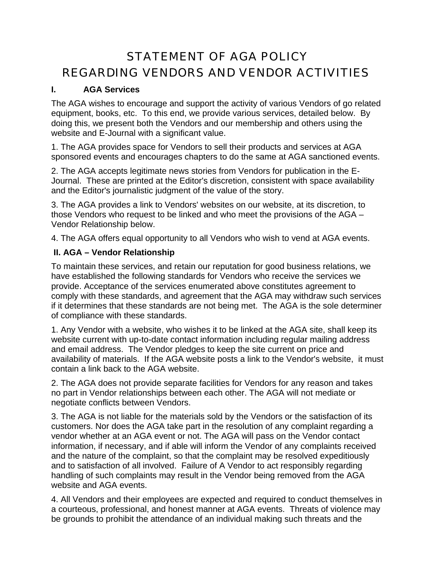# STATEMENT OF AGA POLICY REGARDING VENDORS AND VENDOR ACTIVITIES

### **I. AGA Services**

The AGA wishes to encourage and support the activity of various Vendors of go related equipment, books, etc. To this end, we provide various services, detailed below. By doing this, we present both the Vendors and our membership and others using the website and E-Journal with a significant value.

1. The AGA provides space for Vendors to sell their products and services at AGA sponsored events and encourages chapters to do the same at AGA sanctioned events.

2. The AGA accepts legitimate news stories from Vendors for publication in the E-Journal. These are printed at the Editor's discretion, consistent with space availability and the Editor's journalistic judgment of the value of the story.

3. The AGA provides a link to Vendors' websites on our website, at its discretion, to those Vendors who request to be linked and who meet the provisions of the AGA – Vendor Relationship below.

4. The AGA offers equal opportunity to all Vendors who wish to vend at AGA events.

### **II. AGA – Vendor Relationship**

To maintain these services, and retain our reputation for good business relations, we have established the following standards for Vendors who receive the services we provide. Acceptance of the services enumerated above constitutes agreement to comply with these standards, and agreement that the AGA may withdraw such services if it determines that these standards are not being met. The AGA is the sole determiner of compliance with these standards.

1. Any Vendor with a website, who wishes it to be linked at the AGA site, shall keep its website current with up-to-date contact information including regular mailing address and email address. The Vendor pledges to keep the site current on price and availability of materials. If the AGA website posts a link to the Vendor's website, it must contain a link back to the AGA website.

2. The AGA does not provide separate facilities for Vendors for any reason and takes no part in Vendor relationships between each other. The AGA will not mediate or negotiate conflicts between Vendors.

3. The AGA is not liable for the materials sold by the Vendors or the satisfaction of its customers. Nor does the AGA take part in the resolution of any complaint regarding a vendor whether at an AGA event or not. The AGA will pass on the Vendor contact information, if necessary, and if able will inform the Vendor of any complaints received and the nature of the complaint, so that the complaint may be resolved expeditiously and to satisfaction of all involved. Failure of A Vendor to act responsibly regarding handling of such complaints may result in the Vendor being removed from the AGA website and AGA events.

4. All Vendors and their employees are expected and required to conduct themselves in a courteous, professional, and honest manner at AGA events. Threats of violence may be grounds to prohibit the attendance of an individual making such threats and the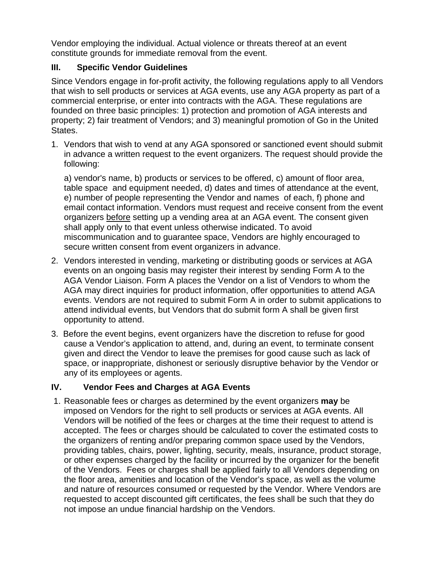Vendor employing the individual. Actual violence or threats thereof at an event constitute grounds for immediate removal from the event.

#### **III. Specific Vendor Guidelines**

Since Vendors engage in for-profit activity, the following regulations apply to all Vendors that wish to sell products or services at AGA events, use any AGA property as part of a commercial enterprise, or enter into contracts with the AGA. These regulations are founded on three basic principles: 1) protection and promotion of AGA interests and property; 2) fair treatment of Vendors; and 3) meaningful promotion of Go in the United States.

1. Vendors that wish to vend at any AGA sponsored or sanctioned event should submit in advance a written request to the event organizers. The request should provide the following:

a) vendor's name, b) products or services to be offered, c) amount of floor area, table space and equipment needed, d) dates and times of attendance at the event, e) number of people representing the Vendor and names of each, f) phone and email contact information. Vendors must request and receive consent from the event organizers before setting up a vending area at an AGA event. The consent given shall apply only to that event unless otherwise indicated. To avoid miscommunication and to guarantee space, Vendors are highly encouraged to secure written consent from event organizers in advance.

- 2. Vendors interested in vending, marketing or distributing goods or services at AGA events on an ongoing basis may register their interest by sending Form A to the AGA Vendor Liaison. Form A places the Vendor on a list of Vendors to whom the AGA may direct inquiries for product information, offer opportunities to attend AGA events. Vendors are not required to submit Form A in order to submit applications to attend individual events, but Vendors that do submit form A shall be given first opportunity to attend.
- 3. Before the event begins, event organizers have the discretion to refuse for good cause a Vendor's application to attend, and, during an event, to terminate consent given and direct the Vendor to leave the premises for good cause such as lack of space, or inappropriate, dishonest or seriously disruptive behavior by the Vendor or any of its employees or agents.

## **IV. Vendor Fees and Charges at AGA Events**

 1. Reasonable fees or charges as determined by the event organizers **may** be imposed on Vendors for the right to sell products or services at AGA events. All Vendors will be notified of the fees or charges at the time their request to attend is accepted. The fees or charges should be calculated to cover the estimated costs to the organizers of renting and/or preparing common space used by the Vendors, providing tables, chairs, power, lighting, security, meals, insurance, product storage, or other expenses charged by the facility or incurred by the organizer for the benefit of the Vendors. Fees or charges shall be applied fairly to all Vendors depending on the floor area, amenities and location of the Vendor's space, as well as the volume and nature of resources consumed or requested by the Vendor. Where Vendors are requested to accept discounted gift certificates, the fees shall be such that they do not impose an undue financial hardship on the Vendors.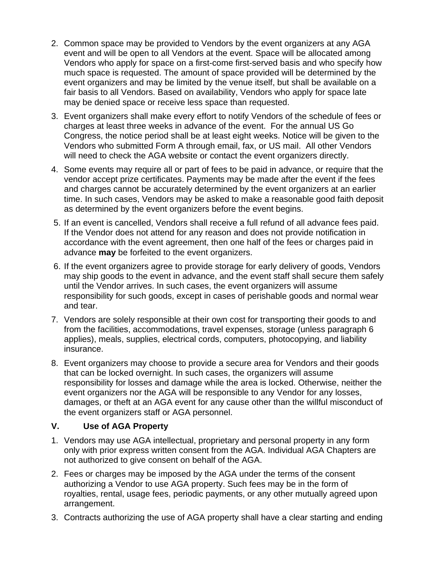- 2. Common space may be provided to Vendors by the event organizers at any AGA event and will be open to all Vendors at the event. Space will be allocated among Vendors who apply for space on a first-come first-served basis and who specify how much space is requested. The amount of space provided will be determined by the event organizers and may be limited by the venue itself, but shall be available on a fair basis to all Vendors. Based on availability, Vendors who apply for space late may be denied space or receive less space than requested.
- 3. Event organizers shall make every effort to notify Vendors of the schedule of fees or charges at least three weeks in advance of the event. For the annual US Go Congress, the notice period shall be at least eight weeks. Notice will be given to the Vendors who submitted Form A through email, fax, or US mail. All other Vendors will need to check the AGA website or contact the event organizers directly.
- 4. Some events may require all or part of fees to be paid in advance, or require that the vendor accept prize certificates. Payments may be made after the event if the fees and charges cannot be accurately determined by the event organizers at an earlier time. In such cases, Vendors may be asked to make a reasonable good faith deposit as determined by the event organizers before the event begins.
- 5. If an event is cancelled, Vendors shall receive a full refund of all advance fees paid. If the Vendor does not attend for any reason and does not provide notification in accordance with the event agreement, then one half of the fees or charges paid in advance **may** be forfeited to the event organizers.
- 6. If the event organizers agree to provide storage for early delivery of goods, Vendors may ship goods to the event in advance, and the event staff shall secure them safely until the Vendor arrives. In such cases, the event organizers will assume responsibility for such goods, except in cases of perishable goods and normal wear and tear.
- 7. Vendors are solely responsible at their own cost for transporting their goods to and from the facilities, accommodations, travel expenses, storage (unless paragraph 6 applies), meals, supplies, electrical cords, computers, photocopying, and liability insurance.
- 8. Event organizers may choose to provide a secure area for Vendors and their goods that can be locked overnight. In such cases, the organizers will assume responsibility for losses and damage while the area is locked. Otherwise, neither the event organizers nor the AGA will be responsible to any Vendor for any losses, damages, or theft at an AGA event for any cause other than the willful misconduct of the event organizers staff or AGA personnel.

#### **V. Use of AGA Property**

- 1. Vendors may use AGA intellectual, proprietary and personal property in any form only with prior express written consent from the AGA. Individual AGA Chapters are not authorized to give consent on behalf of the AGA.
- 2. Fees or charges may be imposed by the AGA under the terms of the consent authorizing a Vendor to use AGA property. Such fees may be in the form of royalties, rental, usage fees, periodic payments, or any other mutually agreed upon arrangement.
- 3. Contracts authorizing the use of AGA property shall have a clear starting and ending